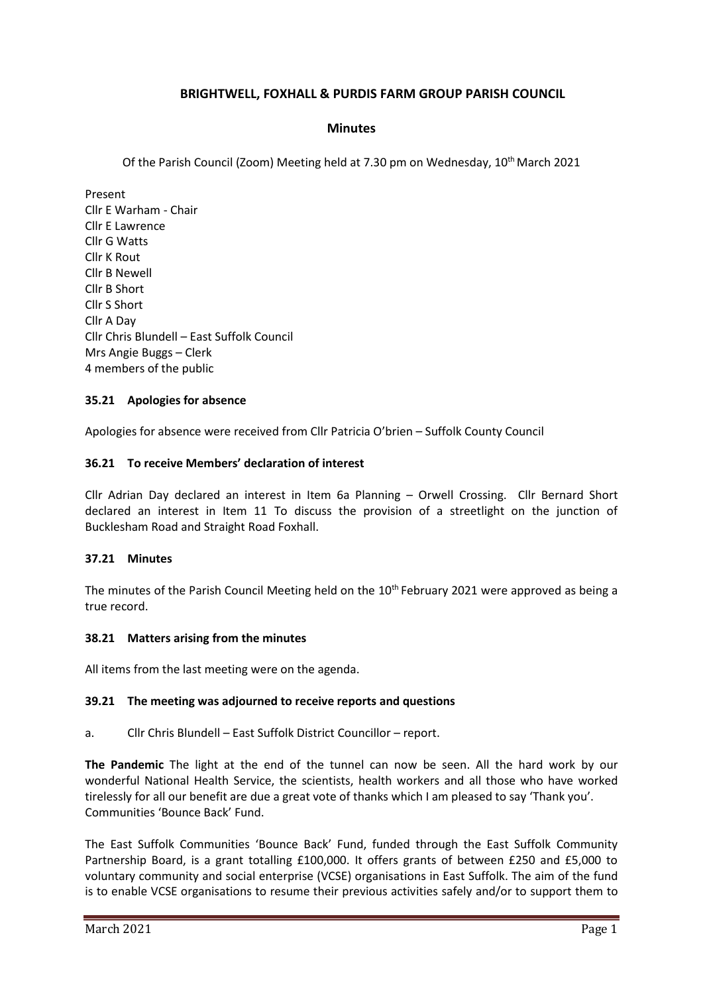# **BRIGHTWELL, FOXHALL & PURDIS FARM GROUP PARISH COUNCIL**

### **Minutes**

Of the Parish Council (Zoom) Meeting held at 7.30 pm on Wednesday, 10th March 2021

Present Cllr E Warham - Chair Cllr E Lawrence Cllr G Watts Cllr K Rout Cllr B Newell Cllr B Short Cllr S Short Cllr A Day Cllr Chris Blundell – East Suffolk Council Mrs Angie Buggs – Clerk 4 members of the public

### **35.21 Apologies for absence**

Apologies for absence were received from Cllr Patricia O'brien – Suffolk County Council

#### **36.21 To receive Members' declaration of interest**

Cllr Adrian Day declared an interest in Item 6a Planning – Orwell Crossing. Cllr Bernard Short declared an interest in Item 11 To discuss the provision of a streetlight on the junction of Bucklesham Road and Straight Road Foxhall.

#### **37.21 Minutes**

The minutes of the Parish Council Meeting held on the 10<sup>th</sup> February 2021 were approved as being a true record.

#### **38.21 Matters arising from the minutes**

All items from the last meeting were on the agenda.

#### **39.21 The meeting was adjourned to receive reports and questions**

a. Cllr Chris Blundell – East Suffolk District Councillor – report.

**The Pandemic** The light at the end of the tunnel can now be seen. All the hard work by our wonderful National Health Service, the scientists, health workers and all those who have worked tirelessly for all our benefit are due a great vote of thanks which I am pleased to say 'Thank you'. Communities 'Bounce Back' Fund.

The East Suffolk Communities 'Bounce Back' Fund, funded through the East Suffolk Community Partnership Board, is a grant totalling £100,000. It offers grants of between £250 and £5,000 to voluntary community and social enterprise (VCSE) organisations in East Suffolk. The aim of the fund is to enable VCSE organisations to resume their previous activities safely and/or to support them to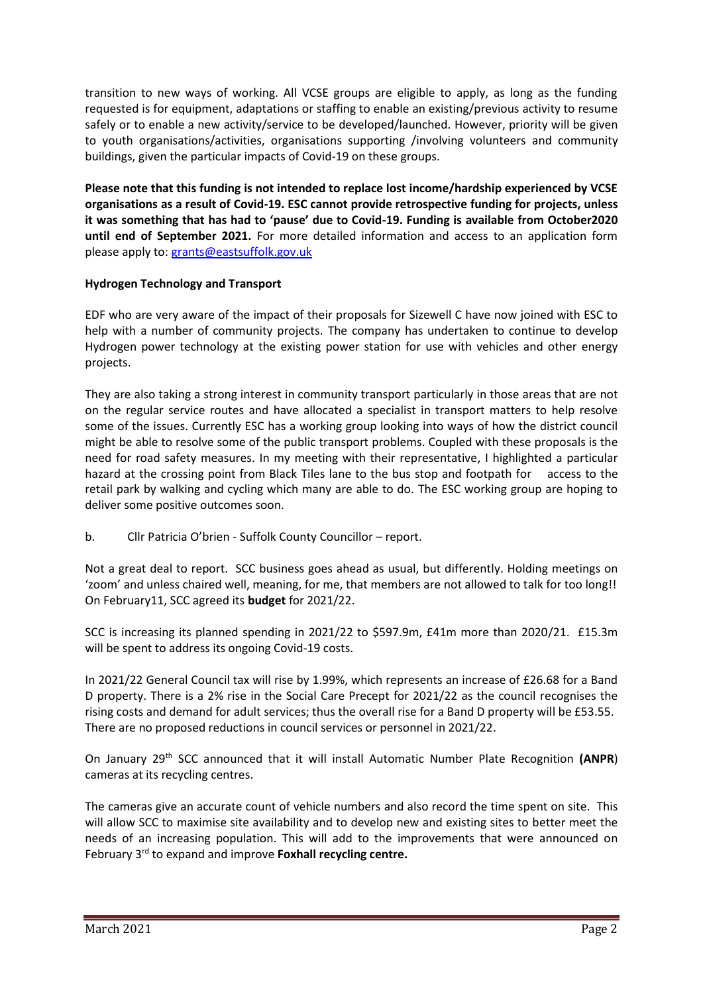transition to new ways of working. All VCSE groups are eligible to apply, as long as the funding requested is for equipment, adaptations or staffing to enable an existing/previous activity to resume safely or to enable a new activity/service to be developed/launched. However, priority will be given to youth organisations/activities, organisations supporting /involving volunteers and community buildings, given the particular impacts of Covid-19 on these groups.

**Please note that this funding is not intended to replace lost income/hardship experienced by VCSE organisations as a result of Covid-19. ESC cannot provide retrospective funding for projects, unless it was something that has had to 'pause' due to Covid-19. Funding is available from October2020 until end of September 2021.** For more detailed information and access to an application form please apply to: [grants@eastsuffolk.gov.uk](mailto:grants@eastsuffolk.gov.uk)

# **Hydrogen Technology and Transport**

EDF who are very aware of the impact of their proposals for Sizewell C have now joined with ESC to help with a number of community projects. The company has undertaken to continue to develop Hydrogen power technology at the existing power station for use with vehicles and other energy projects.

They are also taking a strong interest in community transport particularly in those areas that are not on the regular service routes and have allocated a specialist in transport matters to help resolve some of the issues. Currently ESC has a working group looking into ways of how the district council might be able to resolve some of the public transport problems. Coupled with these proposals is the need for road safety measures. In my meeting with their representative, I highlighted a particular hazard at the crossing point from Black Tiles lane to the bus stop and footpath for access to the retail park by walking and cycling which many are able to do. The ESC working group are hoping to deliver some positive outcomes soon.

b. Cllr Patricia O'brien - Suffolk County Councillor – report.

Not a great deal to report. SCC business goes ahead as usual, but differently. Holding meetings on 'zoom' and unless chaired well, meaning, for me, that members are not allowed to talk for too long!! On February11, SCC agreed its **budget** for 2021/22.

SCC is increasing its planned spending in 2021/22 to \$597.9m, £41m more than 2020/21. £15.3m will be spent to address its ongoing Covid-19 costs.

In 2021/22 General Council tax will rise by 1.99%, which represents an increase of £26.68 for a Band D property. There is a 2% rise in the Social Care Precept for 2021/22 as the council recognises the rising costs and demand for adult services; thus the overall rise for a Band D property will be £53.55. There are no proposed reductions in council services or personnel in 2021/22.

On January 29th SCC announced that it will install Automatic Number Plate Recognition **(ANPR**) cameras at its recycling centres.

The cameras give an accurate count of vehicle numbers and also record the time spent on site. This will allow SCC to maximise site availability and to develop new and existing sites to better meet the needs of an increasing population. This will add to the improvements that were announced on February 3rd to expand and improve **Foxhall recycling centre.**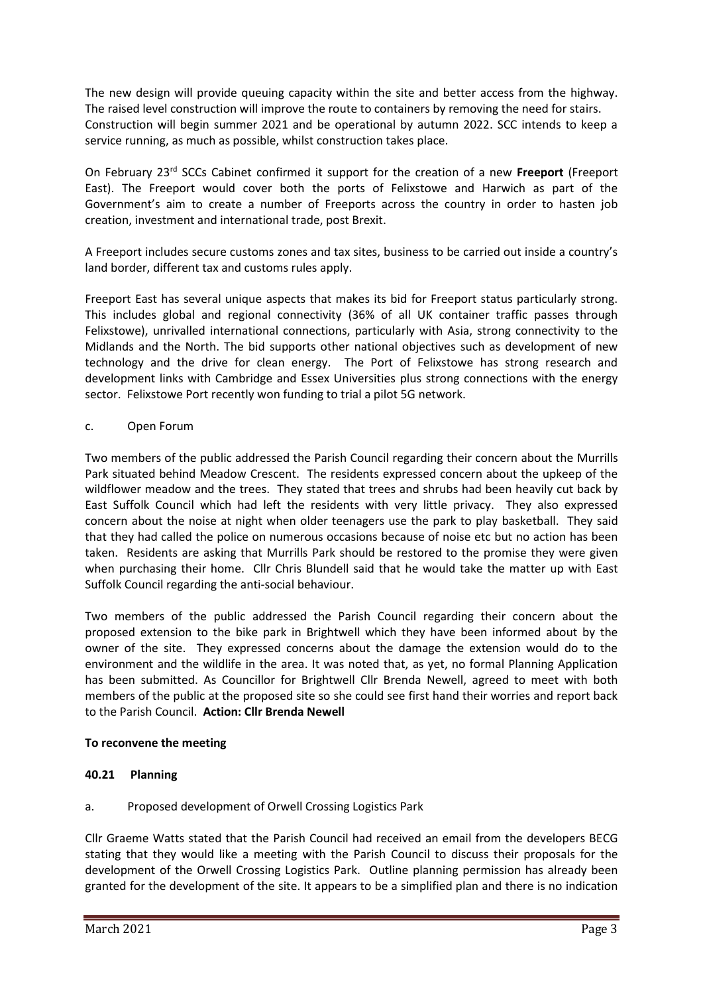The new design will provide queuing capacity within the site and better access from the highway. The raised level construction will improve the route to containers by removing the need for stairs. Construction will begin summer 2021 and be operational by autumn 2022. SCC intends to keep a service running, as much as possible, whilst construction takes place.

On February 23rd SCCs Cabinet confirmed it support for the creation of a new **Freeport** (Freeport East). The Freeport would cover both the ports of Felixstowe and Harwich as part of the Government's aim to create a number of Freeports across the country in order to hasten job creation, investment and international trade, post Brexit.

A Freeport includes secure customs zones and tax sites, business to be carried out inside a country's land border, different tax and customs rules apply.

Freeport East has several unique aspects that makes its bid for Freeport status particularly strong. This includes global and regional connectivity (36% of all UK container traffic passes through Felixstowe), unrivalled international connections, particularly with Asia, strong connectivity to the Midlands and the North. The bid supports other national objectives such as development of new technology and the drive for clean energy. The Port of Felixstowe has strong research and development links with Cambridge and Essex Universities plus strong connections with the energy sector. Felixstowe Port recently won funding to trial a pilot 5G network.

## c. Open Forum

Two members of the public addressed the Parish Council regarding their concern about the Murrills Park situated behind Meadow Crescent. The residents expressed concern about the upkeep of the wildflower meadow and the trees. They stated that trees and shrubs had been heavily cut back by East Suffolk Council which had left the residents with very little privacy. They also expressed concern about the noise at night when older teenagers use the park to play basketball. They said that they had called the police on numerous occasions because of noise etc but no action has been taken. Residents are asking that Murrills Park should be restored to the promise they were given when purchasing their home. Cllr Chris Blundell said that he would take the matter up with East Suffolk Council regarding the anti-social behaviour.

Two members of the public addressed the Parish Council regarding their concern about the proposed extension to the bike park in Brightwell which they have been informed about by the owner of the site. They expressed concerns about the damage the extension would do to the environment and the wildlife in the area. It was noted that, as yet, no formal Planning Application has been submitted. As Councillor for Brightwell Cllr Brenda Newell, agreed to meet with both members of the public at the proposed site so she could see first hand their worries and report back to the Parish Council. **Action: Cllr Brenda Newell**

## **To reconvene the meeting**

## **40.21 Planning**

## a. Proposed development of Orwell Crossing Logistics Park

Cllr Graeme Watts stated that the Parish Council had received an email from the developers BECG stating that they would like a meeting with the Parish Council to discuss their proposals for the development of the Orwell Crossing Logistics Park. Outline planning permission has already been granted for the development of the site. It appears to be a simplified plan and there is no indication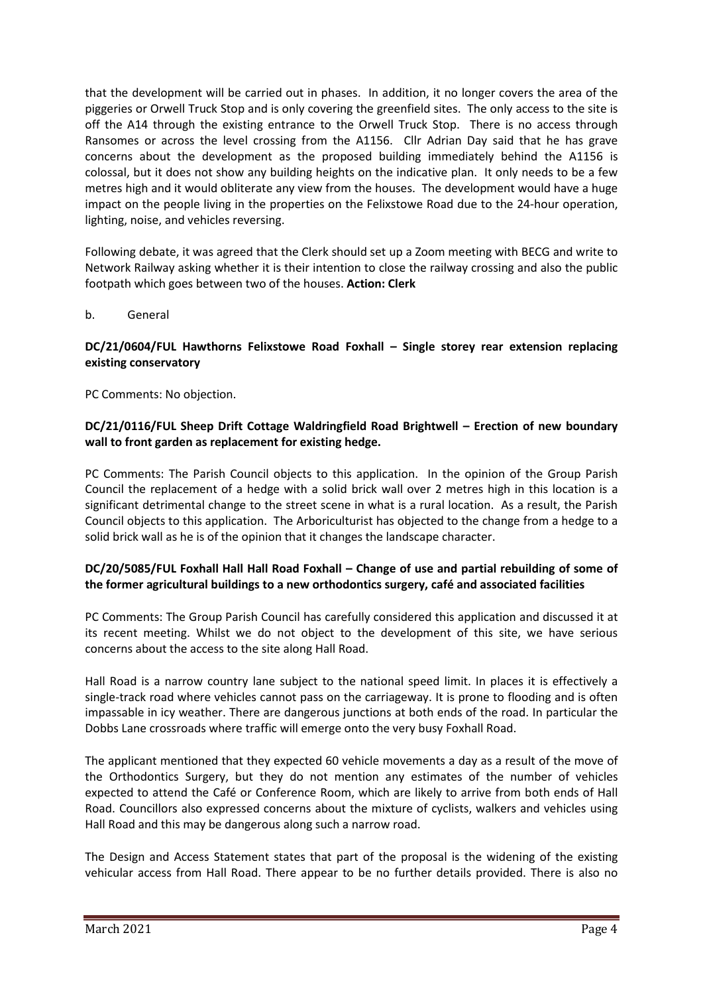that the development will be carried out in phases. In addition, it no longer covers the area of the piggeries or Orwell Truck Stop and is only covering the greenfield sites. The only access to the site is off the A14 through the existing entrance to the Orwell Truck Stop. There is no access through Ransomes or across the level crossing from the A1156. Cllr Adrian Day said that he has grave concerns about the development as the proposed building immediately behind the A1156 is colossal, but it does not show any building heights on the indicative plan. It only needs to be a few metres high and it would obliterate any view from the houses. The development would have a huge impact on the people living in the properties on the Felixstowe Road due to the 24-hour operation, lighting, noise, and vehicles reversing.

Following debate, it was agreed that the Clerk should set up a Zoom meeting with BECG and write to Network Railway asking whether it is their intention to close the railway crossing and also the public footpath which goes between two of the houses. **Action: Clerk**

### b. General

### **DC/21/0604/FUL Hawthorns Felixstowe Road Foxhall – Single storey rear extension replacing existing conservatory**

PC Comments: No objection.

## **DC/21/0116/FUL Sheep Drift Cottage Waldringfield Road Brightwell – Erection of new boundary wall to front garden as replacement for existing hedge.**

PC Comments: The Parish Council objects to this application. In the opinion of the Group Parish Council the replacement of a hedge with a solid brick wall over 2 metres high in this location is a significant detrimental change to the street scene in what is a rural location. As a result, the Parish Council objects to this application. The Arboriculturist has objected to the change from a hedge to a solid brick wall as he is of the opinion that it changes the landscape character.

## **DC/20/5085/FUL Foxhall Hall Hall Road Foxhall – Change of use and partial rebuilding of some of the former agricultural buildings to a new orthodontics surgery, café and associated facilities**

PC Comments: The Group Parish Council has carefully considered this application and discussed it at its recent meeting. Whilst we do not object to the development of this site, we have serious concerns about the access to the site along Hall Road.

Hall Road is a narrow country lane subject to the national speed limit. In places it is effectively a single-track road where vehicles cannot pass on the carriageway. It is prone to flooding and is often impassable in icy weather. There are dangerous junctions at both ends of the road. In particular the Dobbs Lane crossroads where traffic will emerge onto the very busy Foxhall Road.

The applicant mentioned that they expected 60 vehicle movements a day as a result of the move of the Orthodontics Surgery, but they do not mention any estimates of the number of vehicles expected to attend the Café or Conference Room, which are likely to arrive from both ends of Hall Road. Councillors also expressed concerns about the mixture of cyclists, walkers and vehicles using Hall Road and this may be dangerous along such a narrow road.

The Design and Access Statement states that part of the proposal is the widening of the existing vehicular access from Hall Road. There appear to be no further details provided. There is also no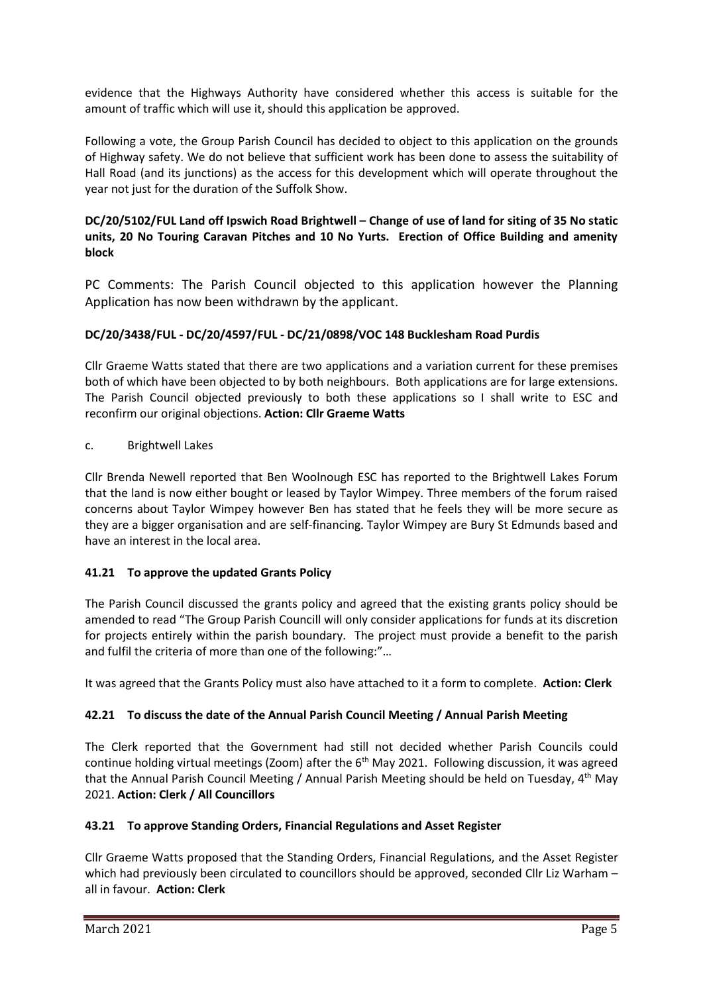evidence that the Highways Authority have considered whether this access is suitable for the amount of traffic which will use it, should this application be approved.

Following a vote, the Group Parish Council has decided to object to this application on the grounds of Highway safety. We do not believe that sufficient work has been done to assess the suitability of Hall Road (and its junctions) as the access for this development which will operate throughout the year not just for the duration of the Suffolk Show.

## **DC/20/5102/FUL Land off Ipswich Road Brightwell – Change of use of land for siting of 35 No static units, 20 No Touring Caravan Pitches and 10 No Yurts. Erection of Office Building and amenity block**

PC Comments: The Parish Council objected to this application however the Planning Application has now been withdrawn by the applicant.

# **DC/20/3438/FUL - DC/20/4597/FUL - DC/21/0898/VOC 148 Bucklesham Road Purdis**

Cllr Graeme Watts stated that there are two applications and a variation current for these premises both of which have been objected to by both neighbours. Both applications are for large extensions. The Parish Council objected previously to both these applications so I shall write to ESC and reconfirm our original objections. **Action: Cllr Graeme Watts**

## c. Brightwell Lakes

Cllr Brenda Newell reported that Ben Woolnough ESC has reported to the Brightwell Lakes Forum that the land is now either bought or leased by Taylor Wimpey. Three members of the forum raised concerns about Taylor Wimpey however Ben has stated that he feels they will be more secure as they are a bigger organisation and are self-financing. Taylor Wimpey are Bury St Edmunds based and have an interest in the local area.

## **41.21 To approve the updated Grants Policy**

The Parish Council discussed the grants policy and agreed that the existing grants policy should be amended to read "The Group Parish Councill will only consider applications for funds at its discretion for projects entirely within the parish boundary. The project must provide a benefit to the parish and fulfil the criteria of more than one of the following:"…

It was agreed that the Grants Policy must also have attached to it a form to complete. **Action: Clerk**

## **42.21 To discuss the date of the Annual Parish Council Meeting / Annual Parish Meeting**

The Clerk reported that the Government had still not decided whether Parish Councils could continue holding virtual meetings (Zoom) after the  $6<sup>th</sup>$  May 2021. Following discussion, it was agreed that the Annual Parish Council Meeting / Annual Parish Meeting should be held on Tuesday, 4<sup>th</sup> May 2021. **Action: Clerk / All Councillors**

## **43.21 To approve Standing Orders, Financial Regulations and Asset Register**

Cllr Graeme Watts proposed that the Standing Orders, Financial Regulations, and the Asset Register which had previously been circulated to councillors should be approved, seconded Cllr Liz Warham – all in favour. **Action: Clerk**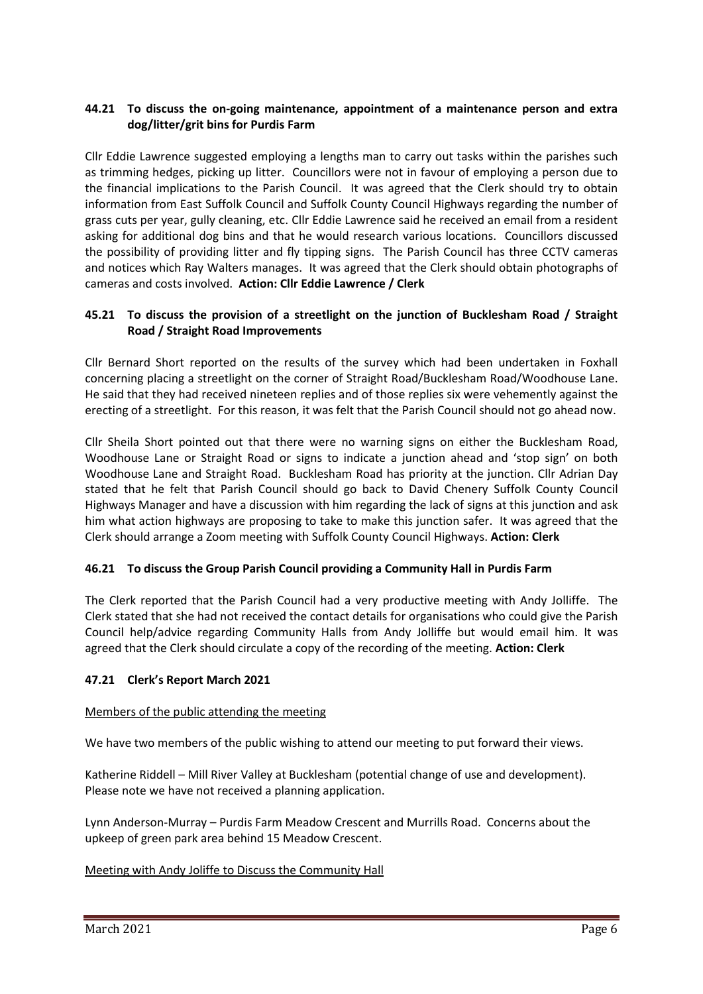## **44.21 To discuss the on-going maintenance, appointment of a maintenance person and extra dog/litter/grit bins for Purdis Farm**

Cllr Eddie Lawrence suggested employing a lengths man to carry out tasks within the parishes such as trimming hedges, picking up litter. Councillors were not in favour of employing a person due to the financial implications to the Parish Council. It was agreed that the Clerk should try to obtain information from East Suffolk Council and Suffolk County Council Highways regarding the number of grass cuts per year, gully cleaning, etc. Cllr Eddie Lawrence said he received an email from a resident asking for additional dog bins and that he would research various locations. Councillors discussed the possibility of providing litter and fly tipping signs. The Parish Council has three CCTV cameras and notices which Ray Walters manages. It was agreed that the Clerk should obtain photographs of cameras and costs involved. **Action: Cllr Eddie Lawrence / Clerk**

## **45.21 To discuss the provision of a streetlight on the junction of Bucklesham Road / Straight Road / Straight Road Improvements**

Cllr Bernard Short reported on the results of the survey which had been undertaken in Foxhall concerning placing a streetlight on the corner of Straight Road/Bucklesham Road/Woodhouse Lane. He said that they had received nineteen replies and of those replies six were vehemently against the erecting of a streetlight. For this reason, it was felt that the Parish Council should not go ahead now.

Cllr Sheila Short pointed out that there were no warning signs on either the Bucklesham Road, Woodhouse Lane or Straight Road or signs to indicate a junction ahead and 'stop sign' on both Woodhouse Lane and Straight Road. Bucklesham Road has priority at the junction. Cllr Adrian Day stated that he felt that Parish Council should go back to David Chenery Suffolk County Council Highways Manager and have a discussion with him regarding the lack of signs at this junction and ask him what action highways are proposing to take to make this junction safer. It was agreed that the Clerk should arrange a Zoom meeting with Suffolk County Council Highways. **Action: Clerk**

## **46.21 To discuss the Group Parish Council providing a Community Hall in Purdis Farm**

The Clerk reported that the Parish Council had a very productive meeting with Andy Jolliffe. The Clerk stated that she had not received the contact details for organisations who could give the Parish Council help/advice regarding Community Halls from Andy Jolliffe but would email him. It was agreed that the Clerk should circulate a copy of the recording of the meeting. **Action: Clerk**

## **47.21 Clerk's Report March 2021**

#### Members of the public attending the meeting

We have two members of the public wishing to attend our meeting to put forward their views.

Katherine Riddell – Mill River Valley at Bucklesham (potential change of use and development). Please note we have not received a planning application.

Lynn Anderson-Murray – Purdis Farm Meadow Crescent and Murrills Road. Concerns about the upkeep of green park area behind 15 Meadow Crescent.

#### Meeting with Andy Joliffe to Discuss the Community Hall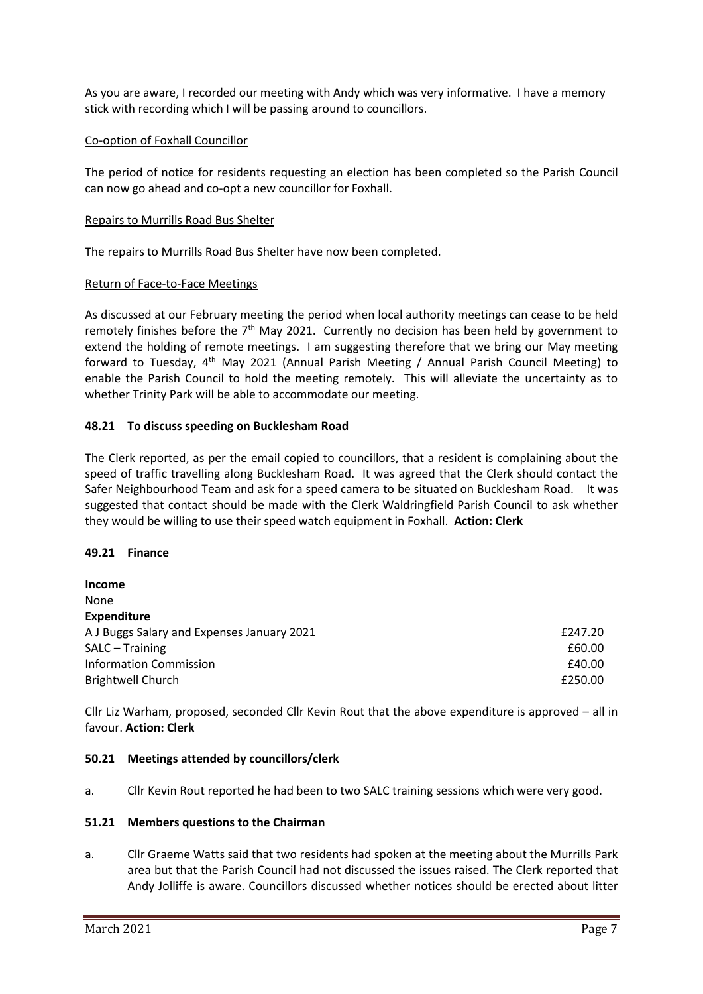As you are aware, I recorded our meeting with Andy which was very informative. I have a memory stick with recording which I will be passing around to councillors.

#### Co-option of Foxhall Councillor

The period of notice for residents requesting an election has been completed so the Parish Council can now go ahead and co-opt a new councillor for Foxhall.

#### Repairs to Murrills Road Bus Shelter

The repairs to Murrills Road Bus Shelter have now been completed.

### Return of Face-to-Face Meetings

As discussed at our February meeting the period when local authority meetings can cease to be held remotely finishes before the  $7<sup>th</sup>$  May 2021. Currently no decision has been held by government to extend the holding of remote meetings. I am suggesting therefore that we bring our May meeting forward to Tuesday, 4th May 2021 (Annual Parish Meeting / Annual Parish Council Meeting) to enable the Parish Council to hold the meeting remotely. This will alleviate the uncertainty as to whether Trinity Park will be able to accommodate our meeting.

### **48.21 To discuss speeding on Bucklesham Road**

The Clerk reported, as per the email copied to councillors, that a resident is complaining about the speed of traffic travelling along Bucklesham Road. It was agreed that the Clerk should contact the Safer Neighbourhood Team and ask for a speed camera to be situated on Bucklesham Road. It was suggested that contact should be made with the Clerk Waldringfield Parish Council to ask whether they would be willing to use their speed watch equipment in Foxhall. **Action: Clerk**

#### **49.21 Finance**

| Income                                     |         |
|--------------------------------------------|---------|
| None                                       |         |
| <b>Expenditure</b>                         |         |
| A J Buggs Salary and Expenses January 2021 | £247.20 |
| SALC – Training                            | £60.00  |
| <b>Information Commission</b>              | £40.00  |
| <b>Brightwell Church</b>                   | £250.00 |

Cllr Liz Warham, proposed, seconded Cllr Kevin Rout that the above expenditure is approved – all in favour. **Action: Clerk**

#### **50.21 Meetings attended by councillors/clerk**

a. Cllr Kevin Rout reported he had been to two SALC training sessions which were very good.

#### **51.21 Members questions to the Chairman**

a. Cllr Graeme Watts said that two residents had spoken at the meeting about the Murrills Park area but that the Parish Council had not discussed the issues raised. The Clerk reported that Andy Jolliffe is aware. Councillors discussed whether notices should be erected about litter